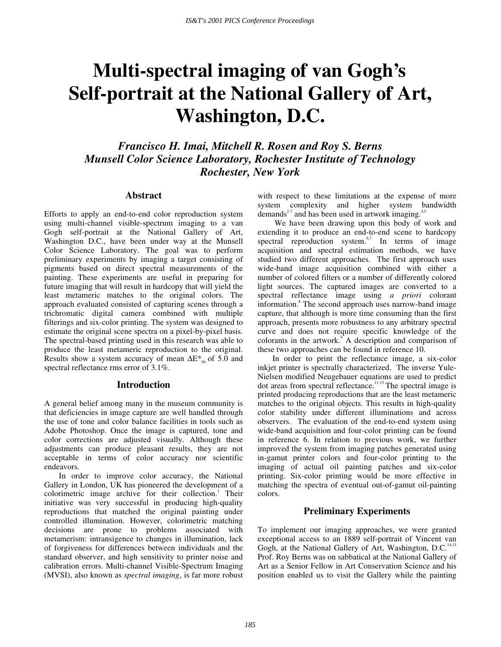# **Multi-spectral imaging of van Gogh's Self-portrait at the National Gallery of Art, Washington, D.C.**

*Francisco H. Imai, Mitchell R. Rosen and Roy S. Berns Munsell Color Science Laboratory, Rochester Institute of Technology Rochester, New York* 

#### **Abstract**

Efforts to apply an end-to-end color reproduction system using multi-channel visible-spectrum imaging to a van Gogh self-portrait at the National Gallery of Art, Washington D.C., have been under way at the Munsell Color Science Laboratory. The goal was to perform preliminary experiments by imaging a target consisting of pigments based on direct spectral measurements of the painting. These experiments are useful in preparing for future imaging that will result in hardcopy that will yield the least metameric matches to the original colors. The approach evaluated consisted of capturing scenes through a trichromatic digital camera combined with multiple filterings and six-color printing. The system was designed to estimate the original scene spectra on a pixel-by-pixel basis. The spectral-based printing used in this research was able to produce the least metameric reproduction to the original. Results show a system accuracy of mean  $\Delta E^*_{94}$  of 5.0 and spectral reflectance rms error of 3.1%.

#### **Introduction**

A general belief among many in the museum community is that deficiencies in image capture are well handled through the use of tone and color balance facilities in tools such as Adobe Photoshop. Once the image is captured, tone and color corrections are adjusted visually. Although these adjustments can produce pleasant results, they are not acceptable in terms of color accuracy nor scientific endeavors.

In order to improve color accuracy, the National Gallery in London, UK has pioneered the development of a colorimetric image archive for their collection.<sup>1</sup> Their initiative was very successful in producing high-quality reproductions that matched the original painting under controlled illumination. However, colorimetric matching decisions are prone to problems associated with metamerism: intransigence to changes in illumination, lack of forgiveness for differences between individuals and the standard observer, and high sensitivity to printer noise and calibration errors. Multi-channel Visible-Spectrum Imaging (MVSI), also known as *spectral imaging*, is far more robust

with respect to these limitations at the expense of more system complexity and higher system bandwidth demands<sup>2-7</sup> and has been used in artwork imaging.<sup>4</sup>,

 We have been drawing upon this body of work and extending it to produce an end-to-end scene to hardcopy spectral reproduction system.<sup>6,7</sup> In terms of image acquisition and spectral estimation methods, we have studied two different approaches. The first approach uses wide-band image acquisition combined with either a number of colored filters or a number of differently colored light sources. The captured images are converted to a spectral reflectance image using *a priori* colorant information.<sup>8</sup> The second approach uses narrow-band image capture, that although is more time consuming than the first approach, presents more robustness to any arbitrary spectral curve and does not require specific knowledge of the colorants in the artwork. $\overline{S}$  A description and comparison of these two approaches can be found in reference 10.

In order to print the reflectance image, a six-color inkjet printer is spectrally characterized. The inverse Yule-Nielsen modified Neugebauer equations are used to predict dot areas from spectral reflectance.<sup>11-13</sup> The spectral image is printed producing reproductions that are the least metameric matches to the original objects. This results in high-quality color stability under different illuminations and across observers. The evaluation of the end-to-end system using wide-band acquisition and four-color printing can be found in reference 6. In relation to previous work, we further improved the system from imaging patches generated using in-gamut printer colors and four-color printing to the imaging of actual oil painting patches and six-color printing. Six-color printing would be more effective in matching the spectra of eventual out-of-gamut oil-painting colors.

# **Preliminary Experiments**

To implement our imaging approaches, we were granted exceptional access to an 1889 self-portrait of Vincent van Gogh, at the National Gallery of Art, Washington, D.C.<sup>14,15</sup> Prof. Roy Berns was on sabbatical at the National Gallery of Art as a Senior Fellow in Art Conservation Science and his position enabled us to visit the Gallery while the painting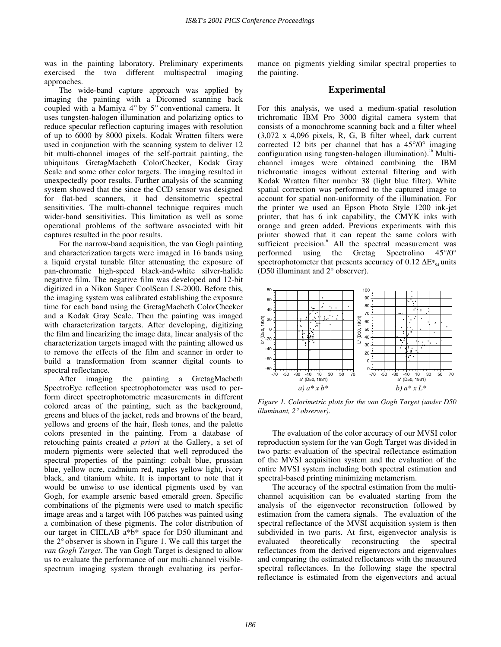was in the painting laboratory. Preliminary experiments exercised the two different multispectral imaging approaches.

The wide-band capture approach was applied by imaging the painting with a Dicomed scanning back coupled with a Mamiya 4" by 5" conventional camera. It uses tungsten-halogen illumination and polarizing optics to reduce specular reflection capturing images with resolution of up to 6000 by 8000 pixels. Kodak Wratten filters were used in conjunction with the scanning system to deliver 12 bit multi-channel images of the self-portrait painting, the ubiquitous GretagMacbeth ColorChecker, Kodak Gray Scale and some other color targets. The imaging resulted in unexpectedly poor results. Further analysis of the scanning system showed that the since the CCD sensor was designed for flat-bed scanners, it had densitometric spectral sensitivities. The multi-channel technique requires much wider-band sensitivities. This limitation as well as some operational problems of the software associated with bit captures resulted in the poor results.

For the narrow-band acquisition, the van Gogh painting and characterization targets were imaged in 16 bands using a liquid crystal tunable filter attenuating the exposure of pan-chromatic high-speed black-and-white silver-halide negative film. The negative film was developed and 12-bit digitized in a Nikon Super CoolScan LS-2000. Before this, the imaging system was calibrated establishing the exposure time for each band using the GretagMacbeth ColorChecker and a Kodak Gray Scale. Then the painting was imaged with characterization targets. After developing, digitizing the film and linearizing the image data, linear analysis of the characterization targets imaged with the painting allowed us to remove the effects of the film and scanner in order to build a transformation from scanner digital counts to spectral reflectance.

After imaging the painting a GretagMacbeth SpectroEye reflection spectrophotometer was used to perform direct spectrophotometric measurements in different colored areas of the painting, such as the background, greens and blues of the jacket, reds and browns of the beard, yellows and greens of the hair, flesh tones, and the palette colors presented in the painting. From a database of retouching paints created *a priori* at the Gallery, a set of modern pigments were selected that well reproduced the spectral properties of the painting: cobalt blue, prussian blue, yellow ocre, cadmium red, naples yellow light, ivory black, and titanium white. It is important to note that it would be unwise to use identical pigments used by van Gogh, for example arsenic based emerald green. Specific combinations of the pigments were used to match specific image areas and a target with 106 patches was painted using a combination of these pigments. The color distribution of our target in CIELAB a\*b\* space for D50 illuminant and the 2° observer is shown in Figure 1. We call this target the *van Gogh Target*. The van Gogh Target is designed to allow us to evaluate the performance of our multi-channel visiblespectrum imaging system through evaluating its performance on pigments yielding similar spectral properties to the painting.

### **Experimental**

For this analysis, we used a medium-spatial resolution trichromatic IBM Pro 3000 digital camera system that consists of a monochrome scanning back and a filter wheel (3,072 x 4,096 pixels, R, G, B filter wheel, dark current corrected 12 bits per channel that has a 45°/0° imaging configuration using tungsten-halogen illumination).<sup>16</sup> Multichannel images were obtained combining the IBM trichromatic images without external filtering and with Kodak Wratten filter number 38 (light blue filter). White spatial correction was performed to the captured image to account for spatial non-uniformity of the illumination. For the printer we used an Epson Photo Style 1200 ink-jet printer, that has 6 ink capability, the CMYK inks with orange and green added. Previous experiments with this printer showed that it can repeat the same colors with sufficient precision.<sup>6</sup> All the spectral measurement was performed using the Gretag Spectrolino 45°/0° spectrophotometer that presents accuracy of 0.12  $\Delta E^*_{94}$  units (D50 illuminant and 2° observer).



*Figure 1. Colorimetric plots for the van Gogh Target (under D50 illuminant, 2*° *observer).* 

The evaluation of the color accuracy of our MVSI color reproduction system for the van Gogh Target was divided in two parts: evaluation of the spectral reflectance estimation of the MVSI acquisition system and the evaluation of the entire MVSI system including both spectral estimation and spectral-based printing minimizing metamerism.

The accuracy of the spectral estimation from the multichannel acquisition can be evaluated starting from the analysis of the eigenvector reconstruction followed by estimation from the camera signals. The evaluation of the spectral reflectance of the MVSI acquisition system is then subdivided in two parts. At first, eigenvector analysis is evaluated theoretically reconstructing the spectral reflectances from the derived eigenvectors and eigenvalues and comparing the estimated reflectances with the measured spectral reflectances. In the following stage the spectral reflectance is estimated from the eigenvectors and actual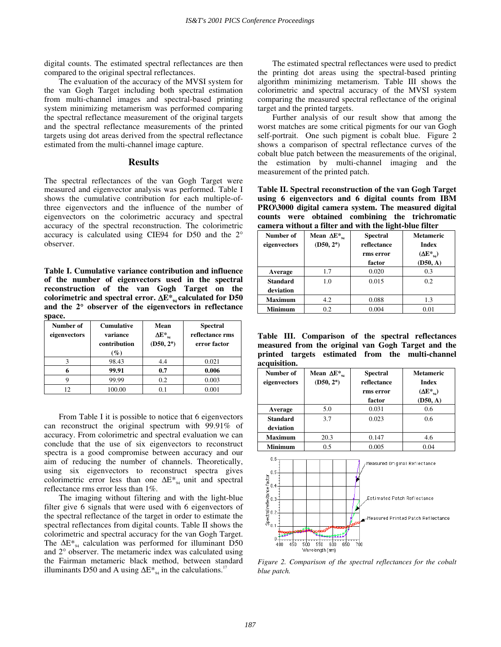digital counts. The estimated spectral reflectances are then compared to the original spectral reflectances.

The evaluation of the accuracy of the MVSI system for the van Gogh Target including both spectral estimation from multi-channel images and spectral-based printing system minimizing metamerism was performed comparing the spectral reflectance measurement of the original targets and the spectral reflectance measurements of the printed targets using dot areas derived from the spectral reflectance estimated from the multi-channel image capture.

# **Results**

The spectral reflectances of the van Gogh Target were measured and eigenvector analysis was performed. Table I shows the cumulative contribution for each multiple-ofthree eigenvectors and the influence of the number of eigenvectors on the colorimetric accuracy and spectral accuracy of the spectral reconstruction. The colorimetric accuracy is calculated using CIE94 for D50 and the 2° observer.

**Table I. Cumulative variance contribution and influence of the number of eigenvectors used in the spectral reconstruction of the van Gogh Target on the colorimetric and spectral error.** ∆**E\*94 calculated for D50 and the 2**° **observer of the eigenvectors in reflectance space.** 

| Number of<br>eigenvectors | <b>Cumulative</b><br>variance<br>contribution<br>$(\%)$ | Mean<br>$\Delta E_{94}^*$<br>$(D50, 2^{\circ})$ | <b>Spectral</b><br>reflectance rms<br>error factor |
|---------------------------|---------------------------------------------------------|-------------------------------------------------|----------------------------------------------------|
| 3                         | 98.43                                                   | 4.4                                             | 0.021                                              |
|                           | 99.91                                                   | 0.7                                             | 0.006                                              |
|                           | 99.99                                                   | 0.2                                             | 0.003                                              |
|                           | 100.00                                                  |                                                 | 0.001                                              |

From Table I it is possible to notice that 6 eigenvectors can reconstruct the original spectrum with 99.91% of accuracy. From colorimetric and spectral evaluation we can conclude that the use of six eigenvectors to reconstruct spectra is a good compromise between accuracy and our aim of reducing the number of channels. Theoretically, using six eigenvectors to reconstruct spectra gives colorimetric error less than one  $\Delta E^*_{94}$  unit and spectral reflectance rms error less than 1%.

The imaging without filtering and with the light-blue filter give 6 signals that were used with 6 eigenvectors of the spectral reflectance of the target in order to estimate the spectral reflectances from digital counts. Table II shows the colorimetric and spectral accuracy for the van Gogh Target. The  $\Delta E^*$ <sub>94</sub> calculation was performed for illuminant D50 and 2° observer. The metameric index was calculated using the Fairman metameric black method, between standard illuminants D50 and A using  $\Delta E^*_{94}$  in the calculations.<sup>17</sup>

The estimated spectral reflectances were used to predict the printing dot areas using the spectral-based printing algorithm minimizing metamerism. Table III shows the colorimetric and spectral accuracy of the MVSI system comparing the measured spectral reflectance of the original target and the printed targets.

Further analysis of our result show that among the worst matches are some critical pigments for our van Gogh self-portrait. One such pigment is cobalt blue. Figure 2 shows a comparison of spectral reflectance curves of the cobalt blue patch between the measurements of the original, the estimation by multi-channel imaging and the measurement of the printed patch.

**Table II. Spectral reconstruction of the van Gogh Target using 6 eigenvectors and 6 digital counts from IBM PRO\3000 digital camera system. The measured digital counts were obtained combining the trichromatic camera without a filter and with the light-blue filter** 

| Number of       | Mean $\Delta E^*_{94}$ | <b>Spectral</b> | <b>Metameric</b>    |
|-----------------|------------------------|-----------------|---------------------|
| eigenvectors    | $(D50, 2^{\circ})$     | reflectance     | <b>Index</b>        |
|                 |                        | rms error       | $(\Delta E_{ad}^*)$ |
|                 |                        | factor          | (D50, A)            |
| Average         | 1.7                    | 0.020           | 0.3                 |
| <b>Standard</b> | 1.0                    | 0.015           | 0.2                 |
| deviation       |                        |                 |                     |
| <b>Maximum</b>  | 4.2                    | 0.088           | 1.3                 |
| <b>Minimum</b>  | 0.2                    | 0.004           | 0.01                |

**Table III. Comparison of the spectral reflectances measured from the original van Gogh Target and the printed targets estimated from the multi-channel acquisition.** 

| Number of<br>eigenvectors | Mean $\Delta E^*$<br>$(D50, 2^{\circ})$ | <b>Spectral</b><br>reflectance<br>rms error<br>factor | <b>Metameric</b><br><b>Index</b><br>$(\Delta E_{\text{ad}}^*)$<br>(D50, A) |
|---------------------------|-----------------------------------------|-------------------------------------------------------|----------------------------------------------------------------------------|
| Average                   | 5.0                                     | 0.031                                                 | 0.6                                                                        |
| <b>Standard</b>           | 3.7                                     | 0.023                                                 | 0.6                                                                        |
| deviation                 |                                         |                                                       |                                                                            |
| <b>Maximum</b>            | 20.3                                    | 0.147                                                 | 4.6                                                                        |
| <b>Minimum</b>            | 0.5                                     | 0.005                                                 | 0.04                                                                       |



*Figure 2. Comparison of the spectral reflectances for the cobalt blue patch.*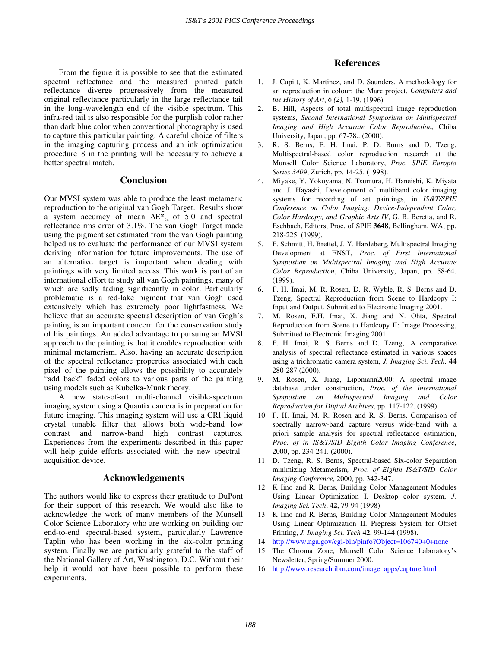From the figure it is possible to see that the estimated spectral reflectance and the measured printed patch reflectance diverge progressively from the measured original reflectance particularly in the large reflectance tail in the long-wavelength end of the visible spectrum. This infra-red tail is also responsible for the purplish color rather than dark blue color when conventional photography is used to capture this particular painting. A careful choice of filters in the imaging capturing process and an ink optimization procedure18 in the printing will be necessary to achieve a better spectral match.

# **Conclusion**

Our MVSI system was able to produce the least metameric reproduction to the original van Gogh Target. Results show a system accuracy of mean  $\Delta E_{94}^{*}$  of 5.0 and spectral reflectance rms error of 3.1%. The van Gogh Target made using the pigment set estimated from the van Gogh painting helped us to evaluate the performance of our MVSI system deriving information for future improvements. The use of an alternative target is important when dealing with paintings with very limited access. This work is part of an international effort to study all van Gogh paintings, many of which are sadly fading significantly in color. Particularly problematic is a red-lake pigment that van Gogh used extensively which has extremely poor lightfastness. We believe that an accurate spectral description of van Gogh's painting is an important concern for the conservation study of his paintings. An added advantage to pursuing an MVSI approach to the painting is that it enables reproduction with minimal metamerism. Also, having an accurate description of the spectral reflectance properties associated with each pixel of the painting allows the possibility to accurately " add back" faded colors to various parts of the painting using models such as Kubelka-Munk theory.

A new state-of-art multi-channel visible-spectrum imaging system using a Quantix camera is in preparation for future imaging. This imaging system will use a CRI liquid crystal tunable filter that allows both wide-band low contrast and narrow-band high contrast captures. Experiences from the experiments described in this paper will help guide efforts associated with the new spectralacquisition device.

# **Acknowledgements**

The authors would like to express their gratitude to DuPont for their support of this research. We would also like to acknowledge the work of many members of the Munsell Color Science Laboratory who are working on building our end-to-end spectral-based system, particularly Lawrence Taplin who has been working in the six-color printing system. Finally we are particularly grateful to the staff of the National Gallery of Art, Washington, D.C. Without their help it would not have been possible to perform these experiments.

# **References**

- 1. J. Cupitt, K. Martinez, and D. Saunders, A methodology for art reproduction in colour: the Marc project, *Computers and the History of Art*, *6 (2),* 1-19. (1996).
- 2. B. Hill, Aspects of total multispectral image reproduction systems, *Second International Symposium on Multispectral Imaging and High Accurate Color Reproduction,* Chiba University, Japan, pp. 67-78.. (2000).
- 3. R. S. Berns, F. H. Imai, P. D. Burns and D. Tzeng, Multispectral-based color reproduction research at the Munsell Color Science Laboratory, *Proc. SPIE Europto Series 3409*, Zürich, pp. 14-25. (1998).
- 4. Miyake, Y. Yokoyama, N. Tsumura, H. Haneishi, K. Miyata and J. Hayashi, Development of multiband color imaging systems for recording of art paintings, in *IS&T/SPIE Conference on Color Imaging: Device-Independent Color, Color Hardcopy, and Graphic Arts IV*, G. B. Beretta, and R. Eschbach, Editors, Proc, of SPIE **3648**, Bellingham, WA, pp. 218-225. (1999).
- 5. F. Schmitt, H. Brettel, J. Y. Hardeberg, Multispectral Imaging Development at ENST, *Proc. of First International Symposium on Multispectral Imaging and High Accurate Color Reproduction*, Chiba University, Japan, pp. 58-64. (1999).
- 6. F. H. Imai, M. R. Rosen, D. R. Wyble, R. S. Berns and D. Tzeng, Spectral Reproduction from Scene to Hardcopy I: Input and Output. Submitted to Electronic Imaging 2001.
- 7. M. Rosen, F.H. Imai, X. Jiang and N. Ohta, Spectral Reproduction from Scene to Hardcopy II: Image Processing, Submitted to Electronic Imaging 2001.
- 8. F. H. Imai, R. S. Berns and D. Tzeng, A comparative analysis of spectral reflectance estimated in various spaces using a trichromatic camera system, *J. Imaging Sci. Tech.* **44** 280-287 (2000).
- 9. M. Rosen, X. Jiang, Lippmann2000: A spectral image database under construction, *Proc. of the International Symposium on Multispectral Imaging and Color Reproduction for Digital Archives*, pp. 117-122. (1999).
- 10. F. H. Imai, M. R. Rosen and R. S. Berns, Comparison of spectrally narrow-band capture versus wide-band with a priori sample analysis for spectral reflectance estimation, *Proc. of in IS&T/SID Eighth Color Imaging Conference*, 2000, pp. 234-241. (2000).
- 11. D. Tzeng, R. S. Berns, Spectral-based Six-color Separation minimizing Metamerism*, Proc. of Eighth IS&T/SID Color Imaging Conference*, 2000, pp. 342-347.
- 12. K Iino and R. Berns, Building Color Management Modules Using Linear Optimization I. Desktop color system, *J. Imaging Sci. Tech*, **42**, 79-94 (1998).
- 13. K Iino and R. Berns, Building Color Management Modules Using Linear Optimization II. Prepress System for Offset Printing, *J. Imaging Sci. Tech* **42**, 99-144 (1998).
- 14. http://www.nga.gov/cgi-bin/pinfo?Object=106740+0+none
- 15. The Chroma Zone, Munsell Color Science Laboratory's Newsletter, Spring/Summer 2000.
- 16. http://www.research.ibm.com/image\_apps/capture.html